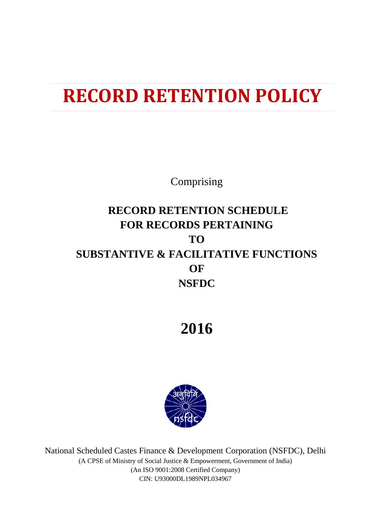## **RECORD RETENTION POLICY**

Comprising

### **RECORD RETENTION SCHEDULE FOR RECORDS PERTAINING TO SUBSTANTIVE & FACILITATIVE FUNCTIONS OF NSFDC**

**2016**



National Scheduled Castes Finance & Development Corporation (NSFDC), Delhi (A CPSE of Ministry of Social Justice & Empowerment, Government of India) (An ISO 9001:2008 Certified Company) CIN: U93000DL1989NPL034967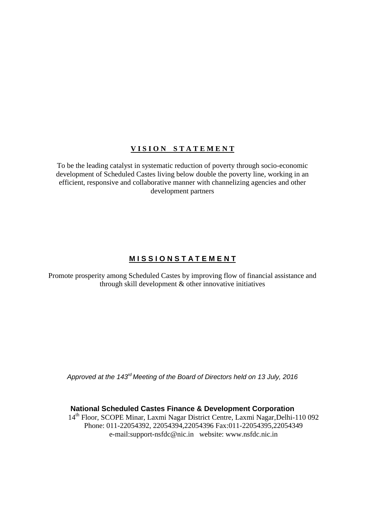### **V I S I O N S T A T E M E N T**

To be the leading catalyst in systematic reduction of poverty through socio-economic development of Scheduled Castes living below double the poverty line, working in an efficient, responsive and collaborative manner with channelizing agencies and other development partners

### **M I S S I O N S T A T E M E N T**

Promote prosperity among Scheduled Castes by improving flow of financial assistance and through skill development & other innovative initiatives

*Approved at the 143rd Meeting of the Board of Directors held on 13 July, 2016*

**National Scheduled Castes Finance & Development Corporation**

14th Floor, SCOPE Minar, Laxmi Nagar District Centre, Laxmi Nagar,Delhi-110 092 Phone: 011-22054392, 22054394,22054396 Fax:011-22054395,22054349 e-mail:support-nsfdc@nic.in website: www.nsfdc.nic.in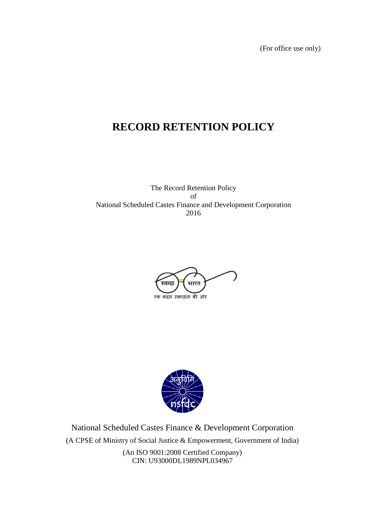(For office use only)

### **RECORD RETENTION POLICY**

The Record Retention Policy of National Scheduled Castes Finance and Development Corporation 2016





National Scheduled Castes Finance & Development Corporation (A CPSE of Ministry of Social Justice & Empowerment, Government of India) (An ISO 9001:2008 Certified Company) CIN: U93000DL1989NPL034967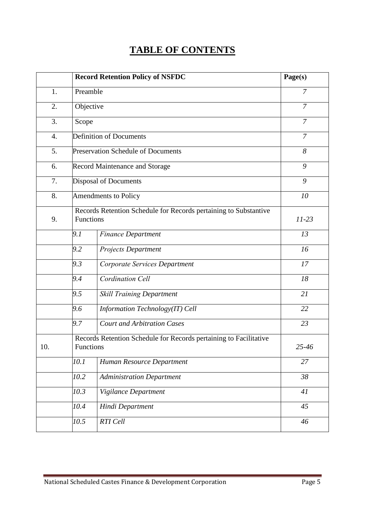### **TABLE OF CONTENTS**

|                  |                                                                               | <b>Record Retention Policy of NSFDC</b>                           | Page(s)        |  |  |  |  |
|------------------|-------------------------------------------------------------------------------|-------------------------------------------------------------------|----------------|--|--|--|--|
| 1.               | Preamble                                                                      |                                                                   | $\overline{7}$ |  |  |  |  |
| 2.               |                                                                               | Objective                                                         |                |  |  |  |  |
| 3.               |                                                                               | Scope                                                             |                |  |  |  |  |
| $\overline{4}$ . |                                                                               | <b>Definition of Documents</b>                                    |                |  |  |  |  |
| 5.               |                                                                               | <b>Preservation Schedule of Documents</b>                         | 8              |  |  |  |  |
| 6.               |                                                                               | <b>Record Maintenance and Storage</b>                             | 9              |  |  |  |  |
| 7.               |                                                                               | <b>Disposal of Documents</b>                                      | 9              |  |  |  |  |
| 8.               | <b>Amendments to Policy</b>                                                   | 10                                                                |                |  |  |  |  |
| 9.               | Records Retention Schedule for Records pertaining to Substantive<br>Functions | $11 - 23$                                                         |                |  |  |  |  |
|                  | 9.1                                                                           | <b>Finance Department</b>                                         | 13             |  |  |  |  |
|                  | 9.2                                                                           | Projects Department                                               | 16             |  |  |  |  |
|                  | 9.3                                                                           | Corporate Services Department                                     | 17             |  |  |  |  |
|                  | 9.4                                                                           | <b>Cordination Cell</b>                                           | 18             |  |  |  |  |
|                  | 9.5                                                                           | <b>Skill Training Department</b>                                  | 21             |  |  |  |  |
|                  | 9.6                                                                           | Information Technology(IT) Cell                                   | 22             |  |  |  |  |
|                  | 9.7                                                                           | <b>Court and Arbitration Cases</b>                                | 23             |  |  |  |  |
| 10.              | Functions                                                                     | Records Retention Schedule for Records pertaining to Facilitative | 25-46          |  |  |  |  |
|                  | 10.1                                                                          | Human Resource Department                                         | 27             |  |  |  |  |
|                  | 10.2                                                                          | <b>Administration Department</b>                                  | 38             |  |  |  |  |
|                  | 10.3                                                                          | Vigilance Department                                              | 41             |  |  |  |  |
|                  | 10.4                                                                          | Hindi Department                                                  | 45             |  |  |  |  |
|                  | 10.5                                                                          | RTI Cell                                                          | 46             |  |  |  |  |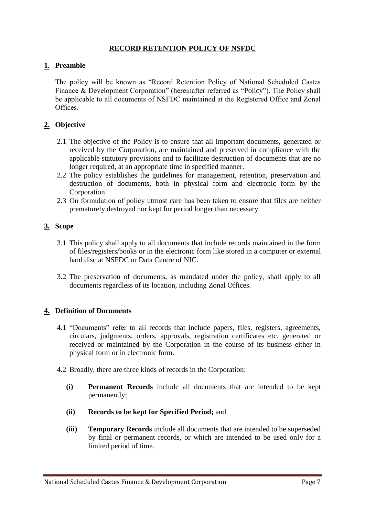### **RECORD RETENTION POLICY OF NSFDC**

### **1. Preamble**

The policy will be known as "Record Retention Policy of National Scheduled Castes Finance & Development Corporation" (hereinafter referred as "Policy"). The Policy shall be applicable to all documents of NSFDC maintained at the Registered Office and Zonal **Offices** 

### **2. Objective**

- 2.1 The objective of the Policy is to ensure that all important documents, generated or received by the Corporation, are maintained and preserved in compliance with the applicable statutory provisions and to facilitate destruction of documents that are no longer required, at an appropriate time in specified manner.
- 2.2 The policy establishes the guidelines for management, retention, preservation and destruction of documents, both in physical form and electronic form by the Corporation.
- 2.3 On formulation of policy utmost care has been taken to ensure that files are neither prematurely destroyed nor kept for period longer than necessary.

### **3. Scope**

- 3.1 This policy shall apply to all documents that include records maintained in the form of files/registers/books or in the electronic form like stored in a computer or external hard disc at NSFDC or Data Centre of NIC.
- 3.2 The preservation of documents, as mandated under the policy, shall apply to all documents regardless of its location, including Zonal Offices.

### **4. Definition of Documents**

- 4.1 "Documents" refer to all records that include papers, files, registers, agreements, circulars, judgments, orders, approvals, registration certificates etc. generated or received or maintained by the Corporation in the course of its business either in physical form or in electronic form.
- 4.2 Broadly, there are three kinds of records in the Corporation:
	- **(i) Permanent Records** include all documents that are intended to be kept permanently;
	- **(ii) Records to be kept for Specified Period;** and
	- **(iii) Temporary Records** include all documents that are intended to be superseded by final or permanent records, or which are intended to be used only for a limited period of time.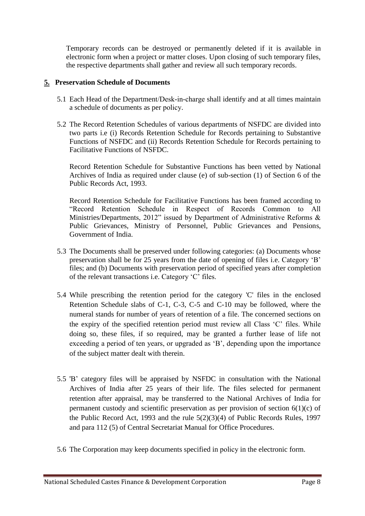Temporary records can be destroyed or permanently deleted if it is available in electronic form when a project or matter closes. Upon closing of such temporary files, the respective departments shall gather and review all such temporary records.

### **5. Preservation Schedule of Documents**

- 5.1 Each Head of the Department/Desk-in-charge shall identify and at all times maintain a schedule of documents as per policy.
- 5.2 The Record Retention Schedules of various departments of NSFDC are divided into two parts i.e (i) Records Retention Schedule for Records pertaining to Substantive Functions of NSFDC and (ii) Records Retention Schedule for Records pertaining to Facilitative Functions of NSFDC.

Record Retention Schedule for Substantive Functions has been vetted by National Archives of India as required under clause (e) of sub-section (1) of Section 6 of the Public Records Act, 1993.

Record Retention Schedule for Facilitative Functions has been framed according to "Record Retention Schedule in Respect of Records Common to All Ministries/Departments, 2012" issued by Department of Administrative Reforms & Public Grievances, Ministry of Personnel, Public Grievances and Pensions, Government of India.

- 5.3 The Documents shall be preserved under following categories: (a) Documents whose preservation shall be for 25 years from the date of opening of files i.e. Category "B" files; and (b) Documents with preservation period of specified years after completion of the relevant transactions i.e. Category "C" files.
- 5.4 While prescribing the retention period for the category 'C' files in the enclosed Retention Schedule slabs of C-1, C-3, C-5 and C-10 may be followed, where the numeral stands for number of years of retention of a file. The concerned sections on the expiry of the specified retention period must review all Class "C" files. While doing so, these files, if so required, may be granted a further lease of life not exceeding a period of ten years, or upgraded as "B", depending upon the importance of the subject matter dealt with therein.
- 5.5 'B" category files will be appraised by NSFDC in consultation with the National Archives of India after 25 years of their life. The files selected for permanent retention after appraisal, may be transferred to the National Archives of India for permanent custody and scientific preservation as per provision of section 6(1)(c) of the Public Record Act, 1993 and the rule 5(2)(3)(4) of Public Records Rules, 1997 and para 112 (5) of Central Secretariat Manual for Office Procedures.
- 5.6 The Corporation may keep documents specified in policy in the electronic form.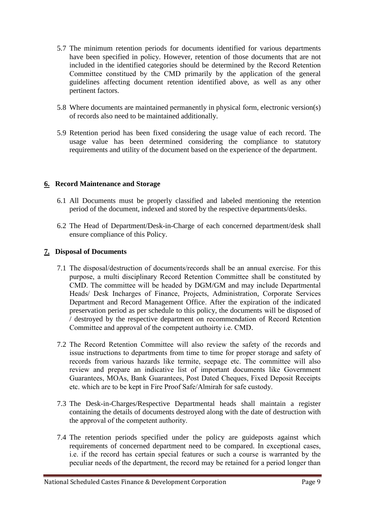- 5.7 The minimum retention periods for documents identified for various departments have been specified in policy. However, retention of those documents that are not included in the identified categories should be determined by the Record Retention Committee constitued by the CMD primarily by the application of the general guidelines affecting document retention identified above, as well as any other pertinent factors.
- 5.8 Where documents are maintained permanently in physical form, electronic version(s) of records also need to be maintained additionally.
- 5.9 Retention period has been fixed considering the usage value of each record. The usage value has been determined considering the compliance to statutory requirements and utility of the document based on the experience of the department.

### **6. Record Maintenance and Storage**

- 6.1 All Documents must be properly classified and labeled mentioning the retention period of the document, indexed and stored by the respective departments/desks.
- 6.2 The Head of Department/Desk-in-Charge of each concerned department/desk shall ensure compliance of this Policy.

### **7. Disposal of Documents**

- 7.1 The disposal/destruction of documents/records shall be an annual exercise. For this purpose, a multi disciplinary Record Retention Committee shall be constituted by CMD. The committee will be headed by DGM/GM and may include Departmental Heads/ Desk Incharges of Finance, Projects, Administration, Corporate Services Department and Record Management Office. After the expiration of the indicated preservation period as per schedule to this policy, the documents will be disposed of / destroyed by the respective department on recommendation of Record Retention Committee and approval of the competent authoirty i.e. CMD.
- 7.2 The Record Retention Committee will also review the safety of the records and issue instructions to departments from time to time for proper storage and safety of records from various hazards like termite, seepage etc. The committee will also review and prepare an indicative list of important documents like Government Guarantees, MOAs, Bank Guarantees, Post Dated Cheques, Fixed Deposit Receipts etc. which are to be kept in Fire Proof Safe/Almirah for safe custody.
- 7.3 The Desk-in-Charges/Respective Departmental heads shall maintain a register containing the details of documents destroyed along with the date of destruction with the approval of the competent authority.
- 7.4 The retention periods specified under the policy are guideposts against which requirements of concerned department need to be compared. In exceptional cases, i.e. if the record has certain special features or such a course is warranted by the peculiar needs of the department, the record may be retained for a period longer than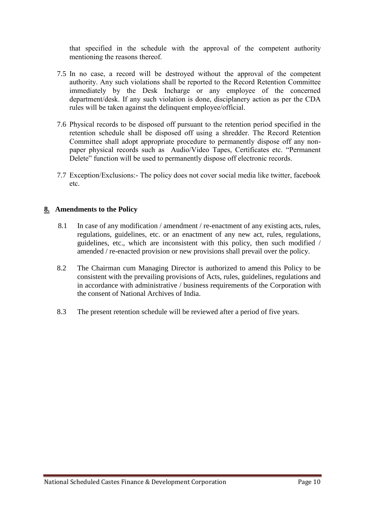that specified in the schedule with the approval of the competent authority mentioning the reasons thereof.

- 7.5 In no case, a record will be destroyed without the approval of the competent authority. Any such violations shall be reported to the Record Retention Committee immediately by the Desk Incharge or any employee of the concerned department/desk. If any such violation is done, disciplanery action as per the CDA rules will be taken against the delinquent employee/official.
- 7.6 Physical records to be disposed off pursuant to the retention period specified in the retention schedule shall be disposed off using a shredder. The Record Retention Committee shall adopt appropriate procedure to permanently dispose off any nonpaper physical records such as Audio/Video Tapes, Certificates etc. "Permanent Delete" function will be used to permanently dispose off electronic records.
- 7.7 Exception/Exclusions:- The policy does not cover social media like twitter, facebook etc.

### **8. Amendments to the Policy**

- 8.1 In case of any modification / amendment / re-enactment of any existing acts, rules, regulations, guidelines, etc. or an enactment of any new act, rules, regulations, guidelines, etc., which are inconsistent with this policy, then such modified / amended / re-enacted provision or new provisions shall prevail over the policy.
- 8.2 The Chairman cum Managing Director is authorized to amend this Policy to be consistent with the prevailing provisions of Acts, rules, guidelines, regulations and in accordance with administrative / business requirements of the Corporation with the consent of National Archives of India.
- 8.3 The present retention schedule will be reviewed after a period of five years.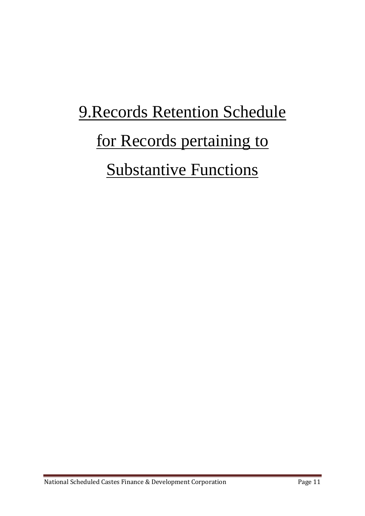## 9.Records Retention Schedule for Records pertaining to **Substantive Functions**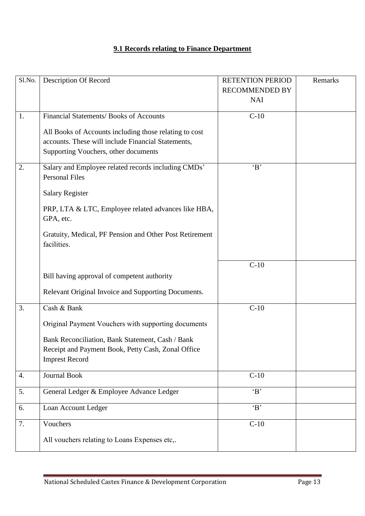### **9.1 Records relating to Finance Department**

| Sl.No. | <b>Description Of Record</b>                            | <b>RETENTION PERIOD</b> | Remarks |
|--------|---------------------------------------------------------|-------------------------|---------|
|        |                                                         | <b>RECOMMENDED BY</b>   |         |
|        |                                                         | <b>NAI</b>              |         |
|        |                                                         |                         |         |
| 1.     | Financial Statements/ Books of Accounts                 | $C-10$                  |         |
|        | All Books of Accounts including those relating to cost  |                         |         |
|        | accounts. These will include Financial Statements,      |                         |         |
|        |                                                         |                         |         |
|        | Supporting Vouchers, other documents                    |                         |         |
| 2.     | Salary and Employee related records including CMDs'     | B                       |         |
|        | <b>Personal Files</b>                                   |                         |         |
|        |                                                         |                         |         |
|        | <b>Salary Register</b>                                  |                         |         |
|        |                                                         |                         |         |
|        | PRP, LTA & LTC, Employee related advances like HBA,     |                         |         |
|        | GPA, etc.                                               |                         |         |
|        | Gratuity, Medical, PF Pension and Other Post Retirement |                         |         |
|        | facilities.                                             |                         |         |
|        |                                                         |                         |         |
|        |                                                         | $C-10$                  |         |
|        | Bill having approval of competent authority             |                         |         |
|        |                                                         |                         |         |
|        | Relevant Original Invoice and Supporting Documents.     |                         |         |
|        |                                                         |                         |         |
| 3.     | Cash & Bank                                             | $C-10$                  |         |
|        | Original Payment Vouchers with supporting documents     |                         |         |
|        |                                                         |                         |         |
|        | Bank Reconciliation, Bank Statement, Cash / Bank        |                         |         |
|        | Receipt and Payment Book, Petty Cash, Zonal Office      |                         |         |
|        | <b>Imprest Record</b>                                   |                         |         |
|        |                                                         |                         |         |
| 4.     | <b>Journal Book</b>                                     | $C-10$                  |         |
| 5.     | General Ledger & Employee Advance Ledger                | B                       |         |
|        |                                                         |                         |         |
| 6.     | Loan Account Ledger                                     | B                       |         |
|        |                                                         |                         |         |
| 7.     | Vouchers                                                | $\overline{C-10}$       |         |
|        | All vouchers relating to Loans Expenses etc,.           |                         |         |
|        |                                                         |                         |         |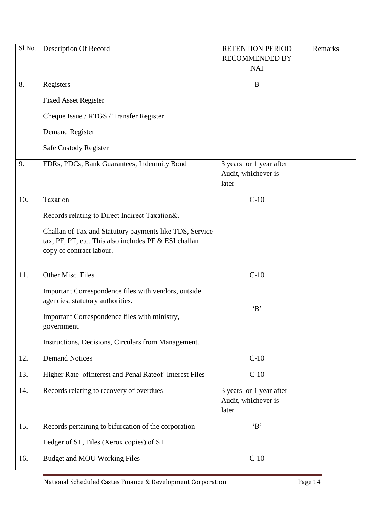| Sl.No. | Description Of Record                                   | <b>RETENTION PERIOD</b> | Remarks |
|--------|---------------------------------------------------------|-------------------------|---------|
|        |                                                         | <b>RECOMMENDED BY</b>   |         |
|        |                                                         | <b>NAI</b>              |         |
| 8.     | Registers                                               | B                       |         |
|        |                                                         |                         |         |
|        | <b>Fixed Asset Register</b>                             |                         |         |
|        | Cheque Issue / RTGS / Transfer Register                 |                         |         |
|        |                                                         |                         |         |
|        | <b>Demand Register</b>                                  |                         |         |
|        | Safe Custody Register                                   |                         |         |
|        |                                                         |                         |         |
| 9.     | FDRs, PDCs, Bank Guarantees, Indemnity Bond             | 3 years or 1 year after |         |
|        |                                                         | Audit, whichever is     |         |
|        |                                                         | later                   |         |
| 10.    | Taxation                                                | $C-10$                  |         |
|        |                                                         |                         |         |
|        | Records relating to Direct Indirect Taxation&.          |                         |         |
|        | Challan of Tax and Statutory payments like TDS, Service |                         |         |
|        | tax, PF, PT, etc. This also includes PF & ESI challan   |                         |         |
|        | copy of contract labour.                                |                         |         |
|        |                                                         |                         |         |
| 11.    | Other Misc. Files                                       | $C-10$                  |         |
|        |                                                         |                         |         |
|        | Important Correspondence files with vendors, outside    |                         |         |
|        | agencies, statutory authorities.                        |                         |         |
|        | Important Correspondence files with ministry,           | B                       |         |
|        | government.                                             |                         |         |
|        |                                                         |                         |         |
|        | Instructions, Decisions, Circulars from Management.     |                         |         |
| 12.    | <b>Demand Notices</b>                                   | $C-10$                  |         |
|        |                                                         |                         |         |
| 13.    | Higher Rate ofInterest and Penal Rateof Interest Files  | $C-10$                  |         |
| 14.    | Records relating to recovery of overdues                | 3 years or 1 year after |         |
|        |                                                         | Audit, whichever is     |         |
|        |                                                         | later                   |         |
| 15.    | Records pertaining to bifurcation of the corporation    | B                       |         |
|        |                                                         |                         |         |
|        | Ledger of ST, Files (Xerox copies) of ST                |                         |         |
| 16.    | <b>Budget and MOU Working Files</b>                     | $C-10$                  |         |
|        |                                                         |                         |         |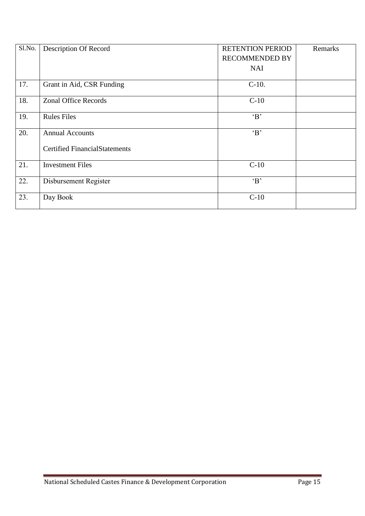| Sl.No. | Description Of Record                | <b>RETENTION PERIOD</b> | Remarks |
|--------|--------------------------------------|-------------------------|---------|
|        |                                      | <b>RECOMMENDED BY</b>   |         |
|        |                                      | <b>NAI</b>              |         |
| 17.    | Grant in Aid, CSR Funding            | $C-10$ .                |         |
| 18.    | <b>Zonal Office Records</b>          | $C-10$                  |         |
| 19.    | <b>Rules Files</b>                   | $\mathbf{B}$            |         |
| 20.    | <b>Annual Accounts</b>               | B                       |         |
|        | <b>Certified FinancialStatements</b> |                         |         |
| 21.    | <b>Investment Files</b>              | $C-10$                  |         |
| 22.    | Disbursement Register                | B                       |         |
| 23.    | Day Book                             | $C-10$                  |         |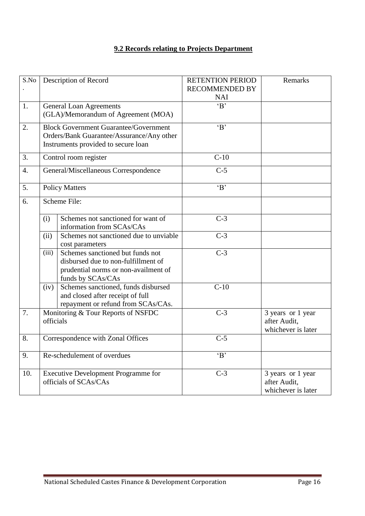### **9.2 Records relating to Projects Department**

| S.No             |           | Description of Record                        | <b>RETENTION PERIOD</b> | Remarks                            |
|------------------|-----------|----------------------------------------------|-------------------------|------------------------------------|
|                  |           |                                              | <b>RECOMMENDED BY</b>   |                                    |
|                  |           |                                              | <b>NAI</b>              |                                    |
| 1.               |           | <b>General Loan Agreements</b>               | B                       |                                    |
|                  |           | (GLA)/Memorandum of Agreement (MOA)          |                         |                                    |
| 2.               |           | <b>Block Government Guarantee/Government</b> | B                       |                                    |
|                  |           | Orders/Bank Guarantee/Assurance/Any other    |                         |                                    |
|                  |           | Instruments provided to secure loan          |                         |                                    |
| 3.               |           | Control room register                        | $C-10$                  |                                    |
| $\overline{4}$ . |           | General/Miscellaneous Correspondence         | $C-5$                   |                                    |
|                  |           |                                              | B                       |                                    |
| 5.               |           | <b>Policy Matters</b>                        |                         |                                    |
| 6.               |           | Scheme File:                                 |                         |                                    |
|                  | (i)       | Schemes not sanctioned for want of           | $C-3$                   |                                    |
|                  |           | information from SCAs/CAs                    |                         |                                    |
|                  | (ii)      | Schemes not sanctioned due to unviable       | $C-3$                   |                                    |
|                  |           | cost parameters                              |                         |                                    |
|                  | (iii)     | Schemes sanctioned but funds not             | $C-3$                   |                                    |
|                  |           | disbursed due to non-fulfillment of          |                         |                                    |
|                  |           | prudential norms or non-availment of         |                         |                                    |
|                  |           | funds by SCAs/CAs                            |                         |                                    |
|                  | (iv)      | Schemes sanctioned, funds disbursed          | $\overline{C-10}$       |                                    |
|                  |           | and closed after receipt of full             |                         |                                    |
|                  |           | repayment or refund from SCAs/CAs.           |                         |                                    |
| 7.               |           | Monitoring & Tour Reports of NSFDC           | $C-3$                   | 3 years or 1 year                  |
|                  | officials |                                              |                         | after Audit,<br>whichever is later |
| 8.               |           |                                              | $C-5$                   |                                    |
|                  |           | Correspondence with Zonal Offices            |                         |                                    |
| 9.               |           | Re-schedulement of overdues                  | B                       |                                    |
|                  |           |                                              |                         |                                    |
| 10.              |           | <b>Executive Development Programme for</b>   | $C-3$                   | 3 years or 1 year                  |
|                  |           | officials of SCAs/CAs                        |                         | after Audit,                       |
|                  |           |                                              |                         | whichever is later                 |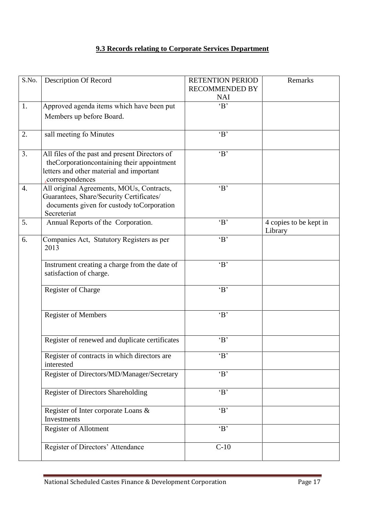### **9.3 Records relating to Corporate Services Department**

| S.No. | <b>Description Of Record</b>                                                                                                                                | <b>RETENTION PERIOD</b><br><b>RECOMMENDED BY</b><br><b>NAI</b> | Remarks                           |
|-------|-------------------------------------------------------------------------------------------------------------------------------------------------------------|----------------------------------------------------------------|-----------------------------------|
| 1.    | Approved agenda items which have been put<br>Members up before Board.                                                                                       | $\overline{B'}$                                                |                                   |
| 2.    | sall meeting fo Minutes                                                                                                                                     | $\Delta$                                                       |                                   |
| 3.    | All files of the past and present Directors of<br>theCorporationcontaining their appointment<br>letters and other material and important<br>correspondences | B                                                              |                                   |
| 4.    | All original Agreements, MOUs, Contracts,<br>Guarantees, Share/Security Certificates/<br>documents given for custody toCorporation<br>Secreteriat           | B                                                              |                                   |
| 5.    | Annual Reports of the Corporation.                                                                                                                          | B                                                              | 4 copies to be kept in<br>Library |
| 6.    | Companies Act, Statutory Registers as per<br>2013                                                                                                           | $\Delta$                                                       |                                   |
|       | Instrument creating a charge from the date of<br>satisfaction of charge.                                                                                    | B                                                              |                                   |
|       | Register of Charge                                                                                                                                          | B                                                              |                                   |
|       | <b>Register of Members</b>                                                                                                                                  | B                                                              |                                   |
|       | Register of renewed and duplicate certificates                                                                                                              | $\Delta$                                                       |                                   |
|       | Register of contracts in which directors are<br>interested                                                                                                  | B                                                              |                                   |
|       | Register of Directors/MD/Manager/Secretary                                                                                                                  | B                                                              |                                   |
|       | Register of Directors Shareholding                                                                                                                          | B                                                              |                                   |
|       | Register of Inter corporate Loans &<br>Investments                                                                                                          | B                                                              |                                   |
|       | Register of Allotment                                                                                                                                       | B                                                              |                                   |
|       | Register of Directors' Attendance                                                                                                                           | $C-10$                                                         |                                   |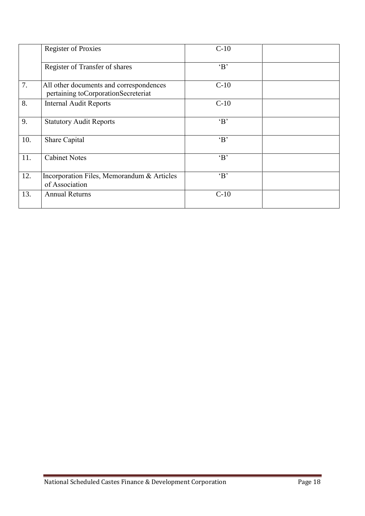|     | <b>Register of Proxies</b>                                                       | $C-10$       |  |
|-----|----------------------------------------------------------------------------------|--------------|--|
|     | Register of Transfer of shares                                                   | B            |  |
| 7.  | All other documents and correspondences<br>pertaining to Corporation Secreteriat | $C-10$       |  |
| 8.  | <b>Internal Audit Reports</b>                                                    | $C-10$       |  |
| 9.  | <b>Statutory Audit Reports</b>                                                   | $\mathbf{B}$ |  |
| 10. | Share Capital                                                                    | B            |  |
| 11. | <b>Cabinet Notes</b>                                                             | B            |  |
| 12. | Incorporation Files, Memorandum & Articles<br>of Association                     | $\mathbf{B}$ |  |
| 13. | <b>Annual Returns</b>                                                            | $C-10$       |  |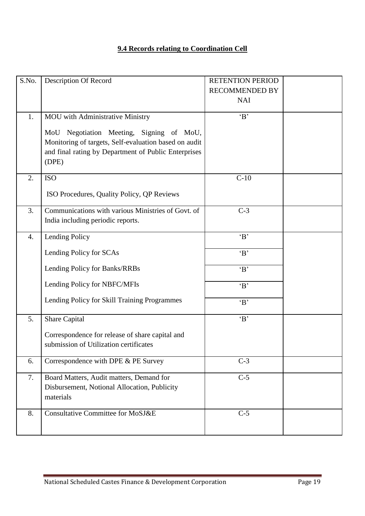### **9.4 Records relating to Coordination Cell**

|          |                                                                                                                                                  | <b>RETENTION PERIOD</b> |  |
|----------|--------------------------------------------------------------------------------------------------------------------------------------------------|-------------------------|--|
|          |                                                                                                                                                  | <b>RECOMMENDED BY</b>   |  |
|          |                                                                                                                                                  | <b>NAI</b>              |  |
| 1.       | <b>MOU</b> with Administrative Ministry                                                                                                          | B                       |  |
|          | Negotiation Meeting, Signing of MoU,<br>MoU                                                                                                      |                         |  |
|          | Monitoring of targets, Self-evaluation based on audit                                                                                            |                         |  |
|          | and final rating by Department of Public Enterprises                                                                                             |                         |  |
|          | (DPE)                                                                                                                                            |                         |  |
| 2.       | <b>ISO</b>                                                                                                                                       | $C-10$                  |  |
|          | ISO Procedures, Quality Policy, QP Reviews                                                                                                       |                         |  |
|          |                                                                                                                                                  |                         |  |
| 3.       | Communications with various Ministries of Govt. of                                                                                               | $C-3$                   |  |
|          | India including periodic reports.                                                                                                                |                         |  |
| 4.       | Lending Policy                                                                                                                                   | B                       |  |
|          | Lending Policy for SCAs                                                                                                                          | B                       |  |
|          |                                                                                                                                                  |                         |  |
|          | Lending Policy for Banks/RRBs                                                                                                                    | B                       |  |
|          | Lending Policy for NBFC/MFIs                                                                                                                     | B                       |  |
|          |                                                                                                                                                  |                         |  |
|          |                                                                                                                                                  |                         |  |
| 5.       | Share Capital                                                                                                                                    | B                       |  |
|          | Correspondence for release of share capital and                                                                                                  |                         |  |
|          | submission of Utilization certificates                                                                                                           |                         |  |
|          |                                                                                                                                                  |                         |  |
|          |                                                                                                                                                  |                         |  |
|          | Board Matters, Audit matters, Demand for                                                                                                         |                         |  |
|          |                                                                                                                                                  |                         |  |
|          |                                                                                                                                                  |                         |  |
|          |                                                                                                                                                  |                         |  |
| 8.       | <b>Consultative Committee for MoSJ&amp;E</b>                                                                                                     | $C-5$                   |  |
| 6.<br>7. | Lending Policy for Skill Training Programmes<br>Correspondence with DPE & PE Survey<br>Disbursement, Notional Allocation, Publicity<br>materials | B<br>$C-3$<br>$C-5$     |  |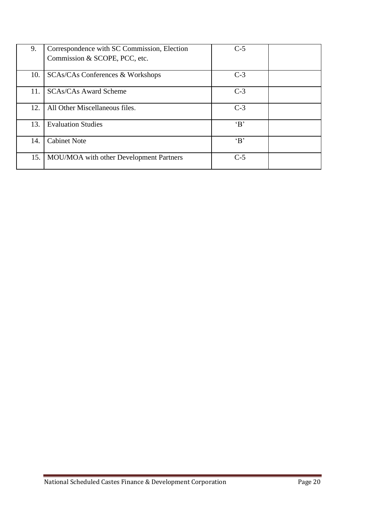| 9.  | Correspondence with SC Commission, Election | $C-5$        |  |
|-----|---------------------------------------------|--------------|--|
|     | Commission & SCOPE, PCC, etc.               |              |  |
| 10. | <b>SCAs/CAs Conferences &amp; Workshops</b> | $C-3$        |  |
| 11. | <b>SCAs/CAs Award Scheme</b>                | $C-3$        |  |
| 12. | All Other Miscellaneous files.              | $C-3$        |  |
| 13. | <b>Evaluation Studies</b>                   | $\mathbf{B}$ |  |
| 14. | <b>Cabinet Note</b>                         | $\mathbf{B}$ |  |
| 15. | MOU/MOA with other Development Partners     | $C-5$        |  |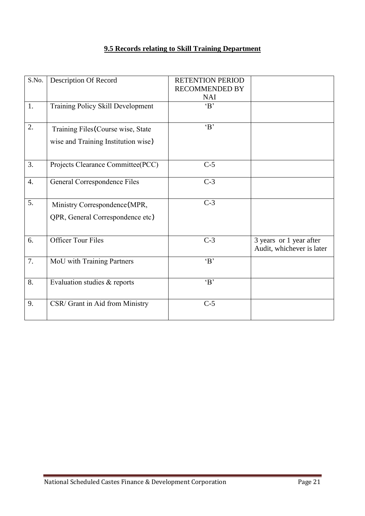### **9.5 Records relating to Skill Training Department**

| S.No. | Description Of Record                                                     | <b>RETENTION PERIOD</b><br><b>RECOMMENDED BY</b><br><b>NAI</b> |                                                      |
|-------|---------------------------------------------------------------------------|----------------------------------------------------------------|------------------------------------------------------|
| 1.    | Training Policy Skill Development                                         | $\mathbf{B}$                                                   |                                                      |
| 2.    | Training Files (Course wise, State<br>wise and Training Institution wise) | $\mathbf{B}$                                                   |                                                      |
| 3.    | Projects Clearance Committee(PCC)                                         | $C-5$                                                          |                                                      |
| 4.    | General Correspondence Files                                              | $C-3$                                                          |                                                      |
| 5.    | Ministry Correspondence (MPR,<br>QPR, General Correspondence etc)         | $C-3$                                                          |                                                      |
| 6.    | <b>Officer Tour Files</b>                                                 | $C-3$                                                          | 3 years or 1 year after<br>Audit, whichever is later |
| 7.    | MoU with Training Partners                                                | $\mathbf{B}$                                                   |                                                      |
| 8.    | Evaluation studies & reports                                              | $\overline{B'}$                                                |                                                      |
| 9.    | CSR/ Grant in Aid from Ministry                                           | $C-5$                                                          |                                                      |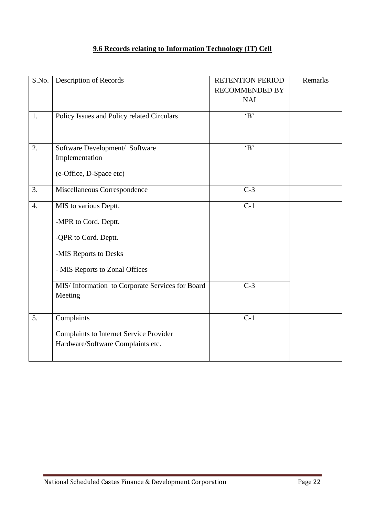### **9.6 Records relating to Information Technology (IT) Cell**

| S.No.            | Description of Records                           | <b>RETENTION PERIOD</b><br><b>RECOMMENDED BY</b> | Remarks |
|------------------|--------------------------------------------------|--------------------------------------------------|---------|
|                  |                                                  | <b>NAI</b>                                       |         |
| 1.               | Policy Issues and Policy related Circulars       | B                                                |         |
| 2.               | Software Development/ Software                   | B                                                |         |
|                  | Implementation                                   |                                                  |         |
|                  | (e-Office, D-Space etc)                          |                                                  |         |
| 3.               | Miscellaneous Correspondence                     | $C-3$                                            |         |
| $\overline{4}$ . | MIS to various Deptt.                            | $C-1$                                            |         |
|                  | -MPR to Cord. Deptt.                             |                                                  |         |
|                  | -QPR to Cord. Deptt.                             |                                                  |         |
|                  | -MIS Reports to Desks                            |                                                  |         |
|                  | - MIS Reports to Zonal Offices                   |                                                  |         |
|                  | MIS/ Information to Corporate Services for Board | $C-3$                                            |         |
|                  | Meeting                                          |                                                  |         |
| 5.               | Complaints                                       | $C-1$                                            |         |
|                  | <b>Complaints to Internet Service Provider</b>   |                                                  |         |
|                  | Hardware/Software Complaints etc.                |                                                  |         |
|                  |                                                  |                                                  |         |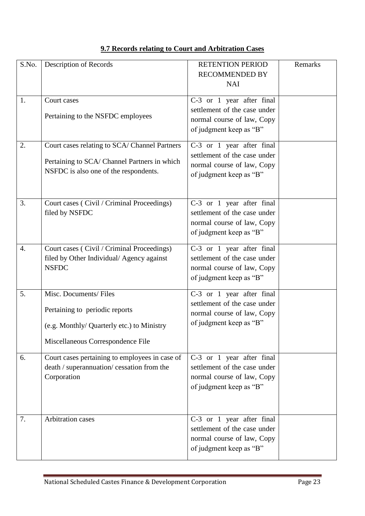|  |  |  |  |  |  |  | 9.7 Records relating to Court and Arbitration Cases |  |
|--|--|--|--|--|--|--|-----------------------------------------------------|--|
|--|--|--|--|--|--|--|-----------------------------------------------------|--|

| S.No. | Description of Records                                                                                                                     | <b>RETENTION PERIOD</b><br><b>RECOMMENDED BY</b><br><b>NAI</b>                                                     | Remarks |
|-------|--------------------------------------------------------------------------------------------------------------------------------------------|--------------------------------------------------------------------------------------------------------------------|---------|
| 1.    | Court cases<br>Pertaining to the NSFDC employees                                                                                           | C-3 or 1 year after final<br>settlement of the case under<br>normal course of law, Copy<br>of judgment keep as "B" |         |
| 2.    | Court cases relating to SCA/ Channel Partners<br>Pertaining to SCA/ Channel Partners in which<br>NSFDC is also one of the respondents.     | C-3 or 1 year after final<br>settlement of the case under<br>normal course of law, Copy<br>of judgment keep as "B" |         |
| 3.    | Court cases (Civil / Criminal Proceedings)<br>filed by NSFDC                                                                               | C-3 or 1 year after final<br>settlement of the case under<br>normal course of law, Copy<br>of judgment keep as "B" |         |
| 4.    | Court cases (Civil / Criminal Proceedings)<br>filed by Other Individual/Agency against<br><b>NSFDC</b>                                     | C-3 or 1 year after final<br>settlement of the case under<br>normal course of law, Copy<br>of judgment keep as "B" |         |
| 5.    | Misc. Documents/Files<br>Pertaining to periodic reports<br>(e.g. Monthly/ Quarterly etc.) to Ministry<br>Miscellaneous Correspondence File | C-3 or 1 year after final<br>settlement of the case under<br>normal course of law, Copy<br>of judgment keep as "B" |         |
| 6.    | Court cases pertaining to employees in case of<br>death / superannuation/ cessation from the<br>Corporation                                | C-3 or 1 year after final<br>settlement of the case under<br>normal course of law, Copy<br>of judgment keep as "B" |         |
| 7.    | Arbitration cases                                                                                                                          | C-3 or 1 year after final<br>settlement of the case under<br>normal course of law, Copy<br>of judgment keep as "B" |         |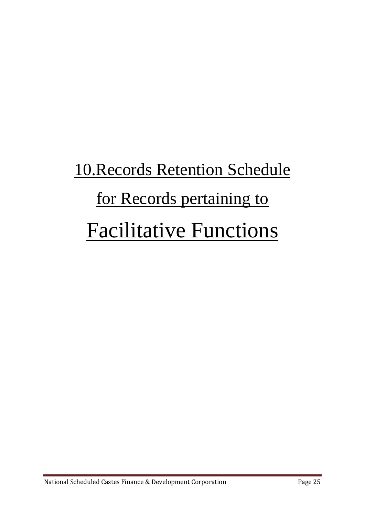# 10.Records Retention Schedule for Records pertaining to Facilitative Functions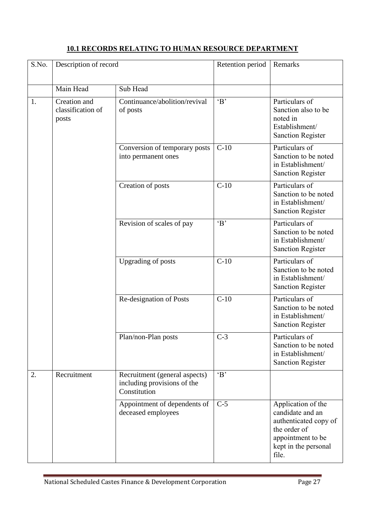### **10.1 RECORDS RELATING TO HUMAN RESOURCE DEPARTMENT**

| S.No. | Description of record                      |                                                                              | Retention period | Remarks                                                                                                                               |
|-------|--------------------------------------------|------------------------------------------------------------------------------|------------------|---------------------------------------------------------------------------------------------------------------------------------------|
|       | Main Head                                  | Sub Head                                                                     |                  |                                                                                                                                       |
| 1.    | Creation and<br>classification of<br>posts | Continuance/abolition/revival<br>of posts                                    | B                | Particulars of<br>Sanction also to be<br>noted in<br>Establishment/<br><b>Sanction Register</b>                                       |
|       |                                            | Conversion of temporary posts<br>into permanent ones                         | $C-10$           | Particulars of<br>Sanction to be noted<br>in Establishment/<br><b>Sanction Register</b>                                               |
|       |                                            | Creation of posts                                                            | $C-10$           | Particulars of<br>Sanction to be noted<br>in Establishment/<br><b>Sanction Register</b>                                               |
|       |                                            | Revision of scales of pay                                                    | B                | Particulars of<br>Sanction to be noted<br>in Establishment/<br><b>Sanction Register</b>                                               |
|       |                                            | Upgrading of posts                                                           | $C-10$           | Particulars of<br>Sanction to be noted<br>in Establishment/<br><b>Sanction Register</b>                                               |
|       |                                            | Re-designation of Posts                                                      | $C-10$           | Particulars of<br>Sanction to be noted<br>in Establishment/<br><b>Sanction Register</b>                                               |
|       |                                            | Plan/non-Plan posts                                                          | $C-3$            | Particulars of<br>Sanction to be noted<br>in Establishment/<br><b>Sanction Register</b>                                               |
| 2.    | Recruitment                                | Recruitment (general aspects)<br>including provisions of the<br>Constitution | B                |                                                                                                                                       |
|       |                                            | Appointment of dependents of<br>deceased employees                           | $C-5$            | Application of the<br>candidate and an<br>authenticated copy of<br>the order of<br>appointment to be<br>kept in the personal<br>file. |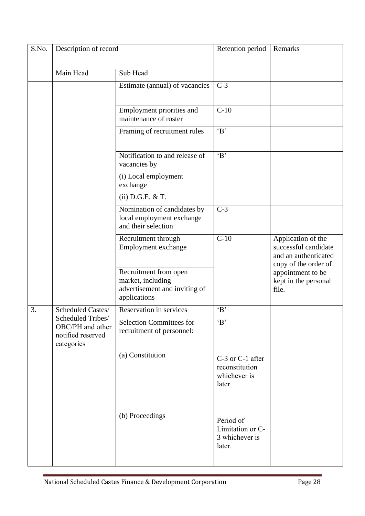| S.No. | Description of record                                                    |                                                                                             | Retention period                                            | Remarks                                                                                    |
|-------|--------------------------------------------------------------------------|---------------------------------------------------------------------------------------------|-------------------------------------------------------------|--------------------------------------------------------------------------------------------|
|       | Main Head                                                                | Sub Head                                                                                    |                                                             |                                                                                            |
|       |                                                                          | Estimate (annual) of vacancies                                                              | $C-3$                                                       |                                                                                            |
|       |                                                                          | Employment priorities and<br>maintenance of roster                                          | $C-10$                                                      |                                                                                            |
|       |                                                                          | Framing of recruitment rules                                                                | $\overline{B}$                                              |                                                                                            |
|       |                                                                          | Notification to and release of<br>vacancies by                                              | $\overline{B'}$                                             |                                                                                            |
|       |                                                                          | (i) Local employment<br>exchange                                                            |                                                             |                                                                                            |
|       |                                                                          | $(ii)$ D.G.E. & T.                                                                          |                                                             |                                                                                            |
|       |                                                                          | Nomination of candidates by<br>local employment exchange<br>and their selection             | $C-3$                                                       |                                                                                            |
|       |                                                                          | Recruitment through<br>Employment exchange                                                  | $C-10$                                                      | Application of the<br>successful candidate<br>and an authenticated<br>copy of the order of |
|       |                                                                          | Recruitment from open<br>market, including<br>advertisement and inviting of<br>applications |                                                             | appointment to be<br>kept in the personal<br>file.                                         |
| 3.    | Scheduled Castes/                                                        | Reservation in services                                                                     | B                                                           |                                                                                            |
|       | Scheduled Tribes/<br>OBC/PH and other<br>notified reserved<br>categories | <b>Selection Committees for</b><br>recruitment of personnel:                                | $\Delta$                                                    |                                                                                            |
|       |                                                                          | (a) Constitution                                                                            | C-3 or C-1 after<br>reconstitution<br>whichever is<br>later |                                                                                            |
|       |                                                                          | (b) Proceedings                                                                             | Period of<br>Limitation or C-<br>3 whichever is<br>later.   |                                                                                            |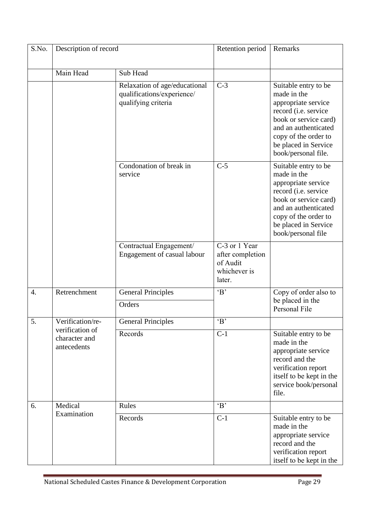| S.No. | Description of record                           |                                                                                    | Retention period                                                        | Remarks                                                                                                                                                                                                    |
|-------|-------------------------------------------------|------------------------------------------------------------------------------------|-------------------------------------------------------------------------|------------------------------------------------------------------------------------------------------------------------------------------------------------------------------------------------------------|
|       | Main Head                                       | Sub Head                                                                           |                                                                         |                                                                                                                                                                                                            |
|       |                                                 | Relaxation of age/educational<br>qualifications/experience/<br>qualifying criteria | $C-3$                                                                   | Suitable entry to be<br>made in the<br>appropriate service<br>record (i.e. service<br>book or service card)<br>and an authenticated<br>copy of the order to<br>be placed in Service<br>book/personal file. |
|       |                                                 | Condonation of break in<br>service                                                 | $C-5$                                                                   | Suitable entry to be<br>made in the<br>appropriate service<br>record (i.e. service<br>book or service card)<br>and an authenticated<br>copy of the order to<br>be placed in Service<br>book/personal file  |
|       |                                                 | Contractual Engagement/<br>Engagement of casual labour                             | C-3 or 1 Year<br>after completion<br>of Audit<br>whichever is<br>later. |                                                                                                                                                                                                            |
| 4.    | Retrenchment                                    | <b>General Principles</b>                                                          | $\overline{B'}$                                                         | Copy of order also to<br>be placed in the                                                                                                                                                                  |
|       |                                                 | Orders                                                                             |                                                                         | Personal File                                                                                                                                                                                              |
| 5.    | Verification/re-                                | <b>General Principles</b>                                                          | B                                                                       |                                                                                                                                                                                                            |
|       | verification of<br>character and<br>antecedents | Records                                                                            | $C-1$                                                                   | Suitable entry to be<br>made in the<br>appropriate service<br>record and the<br>verification report<br>itself to be kept in the<br>service book/personal<br>file.                                          |
| 6.    | Medical                                         | Rules                                                                              | $\overline{B}$                                                          |                                                                                                                                                                                                            |
|       | Examination                                     | Records                                                                            | $C-1$                                                                   | Suitable entry to be<br>made in the<br>appropriate service<br>record and the<br>verification report<br>itself to be kept in the                                                                            |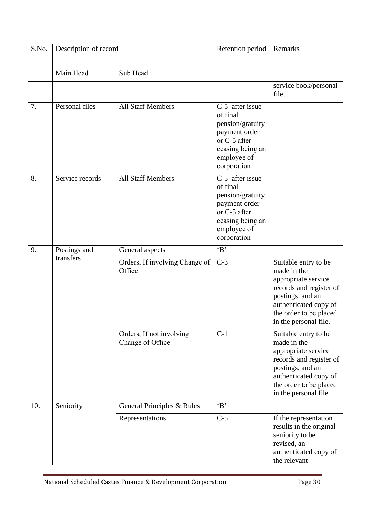| S.No. | Description of record     |                                              | Retention period                                                                                                                   | Remarks                                                                                                                                                                               |
|-------|---------------------------|----------------------------------------------|------------------------------------------------------------------------------------------------------------------------------------|---------------------------------------------------------------------------------------------------------------------------------------------------------------------------------------|
|       | Main Head                 | Sub Head                                     |                                                                                                                                    |                                                                                                                                                                                       |
|       |                           |                                              |                                                                                                                                    | service book/personal<br>file.                                                                                                                                                        |
| 7.    | Personal files            | <b>All Staff Members</b>                     | C-5 after issue<br>of final<br>pension/gratuity<br>payment order<br>or C-5 after<br>ceasing being an<br>employee of<br>corporation |                                                                                                                                                                                       |
| 8.    | Service records           | <b>All Staff Members</b>                     | C-5 after issue<br>of final<br>pension/gratuity<br>payment order<br>or C-5 after<br>ceasing being an<br>employee of<br>corporation |                                                                                                                                                                                       |
| 9.    | Postings and<br>transfers | General aspects                              | B                                                                                                                                  |                                                                                                                                                                                       |
|       |                           | Orders, If involving Change of<br>Office     | $\overline{C-3}$                                                                                                                   | Suitable entry to be<br>made in the<br>appropriate service<br>records and register of<br>postings, and an<br>authenticated copy of<br>the order to be placed<br>in the personal file. |
|       |                           | Orders, If not involving<br>Change of Office | $C-1$                                                                                                                              | Suitable entry to be<br>made in the<br>appropriate service<br>records and register of<br>postings, and an<br>authenticated copy of<br>the order to be placed<br>in the personal file  |
| 10.   | Seniority                 | General Principles & Rules                   | B                                                                                                                                  |                                                                                                                                                                                       |
|       |                           | Representations                              | $C-5$                                                                                                                              | If the representation<br>results in the original<br>seniority to be<br>revised, an<br>authenticated copy of<br>the relevant                                                           |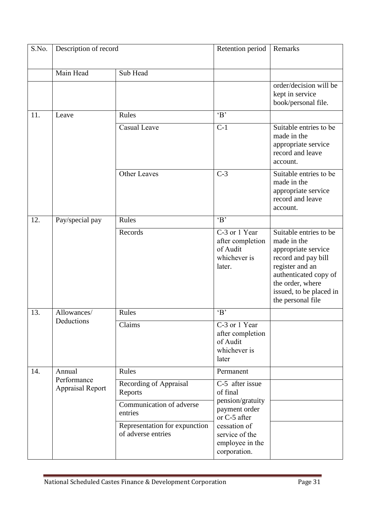| S.No. | Description of record                  |                                                     | Retention period                                                        | Remarks                                                                                                                                                                                             |
|-------|----------------------------------------|-----------------------------------------------------|-------------------------------------------------------------------------|-----------------------------------------------------------------------------------------------------------------------------------------------------------------------------------------------------|
|       | Main Head                              | Sub Head                                            |                                                                         |                                                                                                                                                                                                     |
|       |                                        |                                                     |                                                                         | order/decision will be<br>kept in service<br>book/personal file.                                                                                                                                    |
| 11.   | Leave                                  | Rules                                               | B                                                                       |                                                                                                                                                                                                     |
|       |                                        | Casual Leave                                        | $C-1$                                                                   | Suitable entries to be<br>made in the<br>appropriate service<br>record and leave<br>account.                                                                                                        |
|       |                                        | <b>Other Leaves</b>                                 | $C-3$                                                                   | Suitable entries to be<br>made in the<br>appropriate service<br>record and leave<br>account.                                                                                                        |
| 12.   | Pay/special pay                        | Rules                                               | B                                                                       |                                                                                                                                                                                                     |
|       |                                        | Records                                             | C-3 or 1 Year<br>after completion<br>of Audit<br>whichever is<br>later. | Suitable entries to be<br>made in the<br>appropriate service<br>record and pay bill<br>register and an<br>authenticated copy of<br>the order, where<br>issued, to be placed in<br>the personal file |
| 13.   | Allowances/                            | Rules                                               | B                                                                       |                                                                                                                                                                                                     |
|       | Deductions                             | Claims                                              | C-3 or 1 Year<br>after completion<br>of Audit<br>whichever is<br>later  |                                                                                                                                                                                                     |
| 14.   | Annual                                 | Rules                                               | Permanent                                                               |                                                                                                                                                                                                     |
|       | Performance<br><b>Appraisal Report</b> | Recording of Appraisal<br>Reports                   | C-5 after issue<br>of final<br>pension/gratuity                         |                                                                                                                                                                                                     |
|       |                                        | Communication of adverse<br>entries                 | payment order<br>or C-5 after                                           |                                                                                                                                                                                                     |
|       |                                        | Representation for expunction<br>of adverse entries | cessation of<br>service of the<br>employee in the<br>corporation.       |                                                                                                                                                                                                     |

ä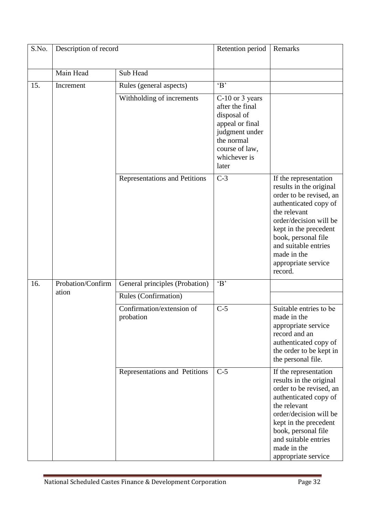| S.No. | Description of record      |                                        | Retention period                                                                                                                                | Remarks                                                                                                                                                                                                                                                                 |
|-------|----------------------------|----------------------------------------|-------------------------------------------------------------------------------------------------------------------------------------------------|-------------------------------------------------------------------------------------------------------------------------------------------------------------------------------------------------------------------------------------------------------------------------|
|       | Main Head                  | Sub Head                               |                                                                                                                                                 |                                                                                                                                                                                                                                                                         |
| 15.   | Increment                  | Rules (general aspects)                | B                                                                                                                                               |                                                                                                                                                                                                                                                                         |
|       |                            | Withholding of increments              | C-10 or 3 years<br>after the final<br>disposal of<br>appeal or final<br>judgment under<br>the normal<br>course of law,<br>whichever is<br>later |                                                                                                                                                                                                                                                                         |
|       |                            | Representations and Petitions          | $C-3$                                                                                                                                           | If the representation<br>results in the original<br>order to be revised, an<br>authenticated copy of<br>the relevant<br>order/decision will be<br>kept in the precedent<br>book, personal file<br>and suitable entries<br>made in the<br>appropriate service<br>record. |
| 16.   | Probation/Confirm<br>ation | General principles (Probation)         | $\overline{B}$                                                                                                                                  |                                                                                                                                                                                                                                                                         |
|       |                            | Rules (Confirmation)                   |                                                                                                                                                 |                                                                                                                                                                                                                                                                         |
|       |                            | Confirmation/extension of<br>probation | $C-5$                                                                                                                                           | Suitable entries to be<br>made in the<br>appropriate service<br>record and an<br>authenticated copy of<br>the order to be kept in<br>the personal file.                                                                                                                 |
|       |                            | Representations and Petitions          | $C-5$                                                                                                                                           | If the representation<br>results in the original<br>order to be revised, an<br>authenticated copy of<br>the relevant<br>order/decision will be<br>kept in the precedent<br>book, personal file<br>and suitable entries<br>made in the<br>appropriate service            |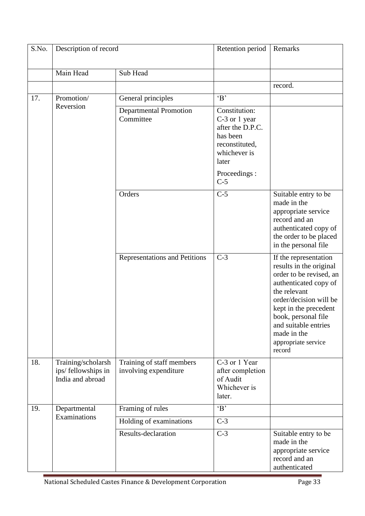| S.No. | Description of record                                         |                                                    | Retention period                                                                                          | Remarks                                                                                                                                                                                                                                                                                                                                                                                                                          |
|-------|---------------------------------------------------------------|----------------------------------------------------|-----------------------------------------------------------------------------------------------------------|----------------------------------------------------------------------------------------------------------------------------------------------------------------------------------------------------------------------------------------------------------------------------------------------------------------------------------------------------------------------------------------------------------------------------------|
|       | Main Head                                                     | Sub Head                                           |                                                                                                           |                                                                                                                                                                                                                                                                                                                                                                                                                                  |
|       |                                                               |                                                    |                                                                                                           | record.                                                                                                                                                                                                                                                                                                                                                                                                                          |
| 17.   | Promotion/                                                    | General principles                                 | B                                                                                                         |                                                                                                                                                                                                                                                                                                                                                                                                                                  |
|       | Reversion                                                     | <b>Departmental Promotion</b><br>Committee         | Constitution:<br>C-3 or 1 year<br>after the D.P.C.<br>has been<br>reconstituted,<br>whichever is<br>later | Suitable entry to be<br>made in the<br>appropriate service<br>record and an<br>authenticated copy of<br>the order to be placed<br>in the personal file<br>If the representation<br>results in the original<br>order to be revised, an<br>authenticated copy of<br>the relevant<br>order/decision will be<br>kept in the precedent<br>book, personal file<br>and suitable entries<br>made in the<br>appropriate service<br>record |
|       |                                                               |                                                    | Proceedings:<br>$C-5$                                                                                     |                                                                                                                                                                                                                                                                                                                                                                                                                                  |
|       |                                                               | Orders                                             | $C-5$                                                                                                     |                                                                                                                                                                                                                                                                                                                                                                                                                                  |
|       |                                                               | Representations and Petitions                      | $C-3$                                                                                                     |                                                                                                                                                                                                                                                                                                                                                                                                                                  |
| 18.   | Training/scholarsh<br>ips/ fellowships in<br>India and abroad | Training of staff members<br>involving expenditure | C-3 or 1 Year<br>after completion<br>of Audit<br>Whichever is<br>later.                                   |                                                                                                                                                                                                                                                                                                                                                                                                                                  |
| 19.   | Departmental                                                  | Framing of rules                                   | B                                                                                                         |                                                                                                                                                                                                                                                                                                                                                                                                                                  |
|       | Examinations                                                  | Holding of examinations                            | $C-3$                                                                                                     |                                                                                                                                                                                                                                                                                                                                                                                                                                  |
|       |                                                               | Results-declaration                                | $C-3$                                                                                                     | Suitable entry to be<br>made in the<br>appropriate service<br>record and an<br>authenticated                                                                                                                                                                                                                                                                                                                                     |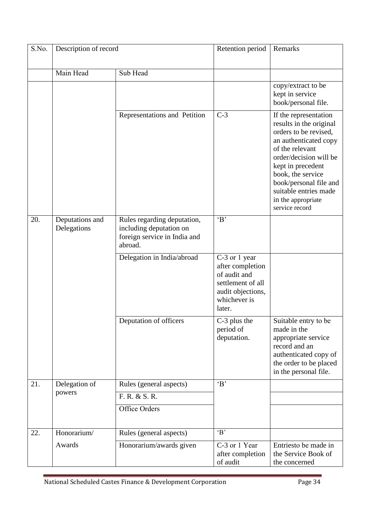| S.No. | Description of record          |                                                                                                   | Retention period                                                                                                      | Remarks                                                                                                                                                                                                                                                                              |
|-------|--------------------------------|---------------------------------------------------------------------------------------------------|-----------------------------------------------------------------------------------------------------------------------|--------------------------------------------------------------------------------------------------------------------------------------------------------------------------------------------------------------------------------------------------------------------------------------|
|       | Main Head                      | Sub Head                                                                                          |                                                                                                                       |                                                                                                                                                                                                                                                                                      |
|       |                                |                                                                                                   |                                                                                                                       | copy/extract to be<br>kept in service<br>book/personal file.                                                                                                                                                                                                                         |
|       |                                | Representations and Petition                                                                      | $C-3$                                                                                                                 | If the representation<br>results in the original<br>orders to be revised,<br>an authenticated copy<br>of the relevant<br>order/decision will be<br>kept in precedent<br>book, the service<br>book/personal file and<br>suitable entries made<br>in the appropriate<br>service record |
| 20.   | Deputations and<br>Delegations | Rules regarding deputation,<br>including deputation on<br>foreign service in India and<br>abroad. | B                                                                                                                     |                                                                                                                                                                                                                                                                                      |
|       |                                | Delegation in India/abroad                                                                        | C-3 or 1 year<br>after completion<br>of audit and<br>settlement of all<br>audit objections,<br>whichever is<br>later. |                                                                                                                                                                                                                                                                                      |
|       |                                | Deputation of officers                                                                            | C-3 plus the<br>period of<br>deputation.                                                                              | Suitable entry to be<br>made in the<br>appropriate service<br>record and an<br>authenticated copy of<br>the order to be placed<br>in the personal file.                                                                                                                              |
| 21.   | Delegation of                  | Rules (general aspects)                                                                           | B                                                                                                                     |                                                                                                                                                                                                                                                                                      |
|       | powers                         | F. R. & S. R.                                                                                     |                                                                                                                       |                                                                                                                                                                                                                                                                                      |
|       |                                | Office Orders                                                                                     |                                                                                                                       |                                                                                                                                                                                                                                                                                      |
| 22.   | Honorarium/                    | Rules (general aspects)                                                                           | B                                                                                                                     |                                                                                                                                                                                                                                                                                      |
|       | Awards                         | Honorarium/awards given                                                                           | C-3 or 1 Year<br>after completion<br>of audit                                                                         | Entriesto be made in<br>the Service Book of<br>the concerned                                                                                                                                                                                                                         |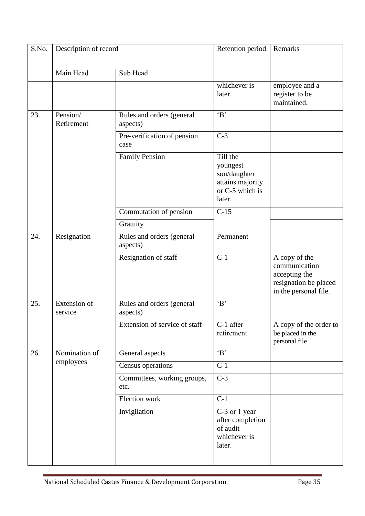| S.No. | Description of record   |                                       | Retention period                                                                      | Remarks                                                                                           |
|-------|-------------------------|---------------------------------------|---------------------------------------------------------------------------------------|---------------------------------------------------------------------------------------------------|
|       | Main Head               | Sub Head                              |                                                                                       |                                                                                                   |
|       |                         |                                       | whichever is<br>later.                                                                | employee and a<br>register to be<br>maintained.                                                   |
| 23.   | Pension/<br>Retirement  | Rules and orders (general<br>aspects) | B                                                                                     |                                                                                                   |
|       |                         | Pre-verification of pension<br>case   | $C-3$                                                                                 |                                                                                                   |
|       |                         | <b>Family Pension</b>                 | Till the<br>youngest<br>son/daughter<br>attains majority<br>or C-5 which is<br>later. |                                                                                                   |
|       |                         | Commutation of pension                | $\overline{C-15}$                                                                     |                                                                                                   |
|       |                         | Gratuity                              |                                                                                       |                                                                                                   |
| 24.   | Resignation             | Rules and orders (general<br>aspects) | Permanent                                                                             |                                                                                                   |
|       |                         | Resignation of staff                  | $C-1$                                                                                 | A copy of the<br>communication<br>accepting the<br>resignation be placed<br>in the personal file. |
| 25.   | Extension of<br>service | Rules and orders (general<br>aspects) | B                                                                                     |                                                                                                   |
|       |                         | Extension of service of staff         | C-1 after<br>retirement.                                                              | A copy of the order to<br>be placed in the<br>personal file                                       |
| 26.   | Nomination of           | General aspects                       | B                                                                                     |                                                                                                   |
|       | employees               | Census operations                     | $C-1$                                                                                 |                                                                                                   |
|       |                         | Committees, working groups,<br>etc.   | $C-3$                                                                                 |                                                                                                   |
|       |                         | Election work                         | $C-1$                                                                                 |                                                                                                   |
|       |                         | Invigilation                          | C-3 or 1 year<br>after completion<br>of audit<br>whichever is<br>later.               |                                                                                                   |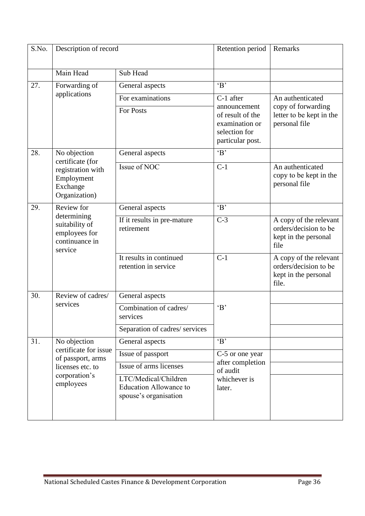| S.No. | Description of record                                                                     |                                                                                | Retention period                                                                        | Remarks                                                                          |
|-------|-------------------------------------------------------------------------------------------|--------------------------------------------------------------------------------|-----------------------------------------------------------------------------------------|----------------------------------------------------------------------------------|
|       | Main Head                                                                                 | Sub Head                                                                       |                                                                                         |                                                                                  |
| 27.   | Forwarding of                                                                             | General aspects                                                                | B                                                                                       |                                                                                  |
|       | applications                                                                              | For examinations                                                               | C-1 after                                                                               | An authenticated                                                                 |
|       |                                                                                           | <b>For Posts</b>                                                               | announcement<br>of result of the<br>examination or<br>selection for<br>particular post. | copy of forwarding<br>letter to be kept in the<br>personal file                  |
| 28.   | No objection                                                                              | General aspects                                                                | B                                                                                       |                                                                                  |
|       | certificate (for<br>registration with<br>Employment<br>Exchange<br>Organization)          | Issue of NOC                                                                   | $C-1$                                                                                   | An authenticated<br>copy to be kept in the<br>personal file                      |
| 29.   | Review for<br>determining<br>suitability of<br>employees for<br>continuance in<br>service | General aspects                                                                | B                                                                                       |                                                                                  |
|       |                                                                                           | If it results in pre-mature<br>retirement                                      | $C-3$                                                                                   | A copy of the relevant<br>orders/decision to be<br>kept in the personal<br>file  |
|       |                                                                                           | It results in continued<br>retention in service                                | $C-1$                                                                                   | A copy of the relevant<br>orders/decision to be<br>kept in the personal<br>file. |
| 30.   | Review of cadres/                                                                         | General aspects                                                                |                                                                                         |                                                                                  |
|       | services                                                                                  | Combination of cadres/<br>services                                             | B                                                                                       |                                                                                  |
|       |                                                                                           | Separation of cadres/ services                                                 |                                                                                         |                                                                                  |
| 31.   | No objection                                                                              | General aspects                                                                | B                                                                                       |                                                                                  |
|       | certificate for issue<br>of passport, arms                                                | Issue of passport                                                              | C-5 or one year                                                                         |                                                                                  |
|       | licenses etc. to                                                                          | Issue of arms licenses                                                         | after completion<br>of audit<br>whichever is<br>later.                                  |                                                                                  |
|       | corporation's<br>employees                                                                | LTC/Medical/Children<br><b>Education Allowance to</b><br>spouse's organisation |                                                                                         |                                                                                  |
|       |                                                                                           |                                                                                |                                                                                         |                                                                                  |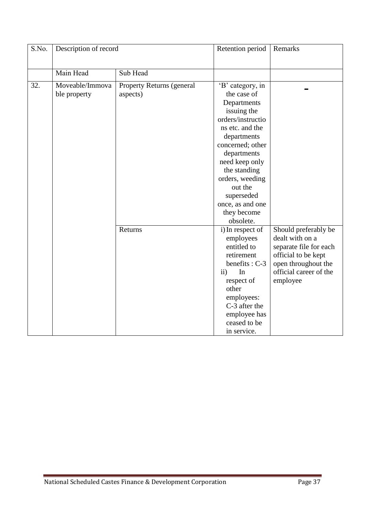| S.No. | Description of record           |                                       | Retention period                                                                                                                                                                                                                                                                      | Remarks                                                                                                                                               |
|-------|---------------------------------|---------------------------------------|---------------------------------------------------------------------------------------------------------------------------------------------------------------------------------------------------------------------------------------------------------------------------------------|-------------------------------------------------------------------------------------------------------------------------------------------------------|
|       | Main Head                       | Sub Head                              |                                                                                                                                                                                                                                                                                       |                                                                                                                                                       |
| 32.   | Moveable/Immova<br>ble property | Property Returns (general<br>aspects) | 'B' category, in<br>the case of<br>Departments<br>issuing the<br>orders/instructio<br>ns etc. and the<br>departments<br>concerned; other<br>departments<br>need keep only<br>the standing<br>orders, weeding<br>out the<br>superseded<br>once, as and one<br>they become<br>obsolete. |                                                                                                                                                       |
|       |                                 | Returns                               | i) In respect of<br>employees<br>entitled to<br>retirement<br>benefits : C-3<br>$\mathbf{ii}$<br>In<br>respect of<br>other<br>employees:<br>C-3 after the<br>employee has<br>ceased to be<br>in service.                                                                              | Should preferably be<br>dealt with on a<br>separate file for each<br>official to be kept<br>open throughout the<br>official career of the<br>employee |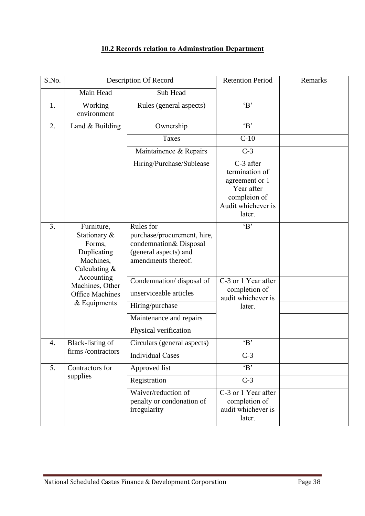### **10.2 Records relation to Adminstration Department**

| S.No. | Description Of Record                                                             |                                                                                                                    | <b>Retention Period</b>                                                                                     | Remarks |
|-------|-----------------------------------------------------------------------------------|--------------------------------------------------------------------------------------------------------------------|-------------------------------------------------------------------------------------------------------------|---------|
|       | Main Head                                                                         | Sub Head                                                                                                           |                                                                                                             |         |
| 1.    | Working<br>environment                                                            | Rules (general aspects)                                                                                            | B                                                                                                           |         |
| 2.    | Land & Building                                                                   | Ownership                                                                                                          | B                                                                                                           |         |
|       |                                                                                   | Taxes                                                                                                              | $C-10$                                                                                                      |         |
|       |                                                                                   | Maintainence & Repairs                                                                                             | $C-3$                                                                                                       |         |
|       |                                                                                   | Hiring/Purchase/Sublease                                                                                           | C-3 after<br>termination of<br>agreement or 1<br>Year after<br>compleion of<br>Audit whichever is<br>later. |         |
| 3.    | Furniture,<br>Stationary &<br>Forms,<br>Duplicating<br>Machines,<br>Calculating & | Rules for<br>purchase/procurement, hire,<br>condemnation& Disposal<br>(general aspects) and<br>amendments thereof. | B                                                                                                           |         |
|       | Accounting<br>Machines, Other<br><b>Office Machines</b><br>$&$ Equipments         | Condemnation/disposal of<br>unserviceable articles                                                                 | C-3 or 1 Year after<br>completion of<br>audit whichever is                                                  |         |
|       |                                                                                   | Hiring/purchase                                                                                                    | later.                                                                                                      |         |
|       |                                                                                   | Maintenance and repairs                                                                                            |                                                                                                             |         |
|       |                                                                                   | Physical verification                                                                                              |                                                                                                             |         |
| 4.    | Black-listing of                                                                  | Circulars (general aspects)                                                                                        | B                                                                                                           |         |
|       | firms /contractors                                                                | <b>Individual Cases</b>                                                                                            | $C-3$                                                                                                       |         |
| 5.    | Contractors for                                                                   | Approved list                                                                                                      | $\overline{B'}$                                                                                             |         |
|       | supplies                                                                          | Registration                                                                                                       | $C-3$                                                                                                       |         |
|       |                                                                                   | Waiver/reduction of<br>penalty or condonation of<br>irregularity                                                   | C-3 or 1 Year after<br>completion of<br>audit whichever is<br>later.                                        |         |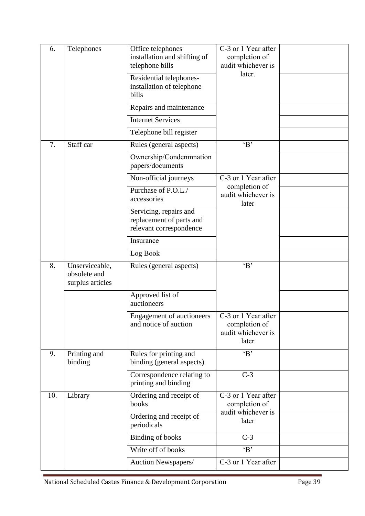| 6.<br>Telephones |                                                    | Office telephones<br>installation and shifting of<br>telephone bills          | C-3 or 1 Year after<br>completion of<br>audit whichever is<br>later. |  |
|------------------|----------------------------------------------------|-------------------------------------------------------------------------------|----------------------------------------------------------------------|--|
|                  |                                                    | Residential telephones-<br>installation of telephone<br>bills                 |                                                                      |  |
|                  |                                                    | Repairs and maintenance                                                       |                                                                      |  |
|                  |                                                    | <b>Internet Services</b>                                                      |                                                                      |  |
|                  |                                                    | Telephone bill register                                                       |                                                                      |  |
| 7.               | Staff car                                          | Rules (general aspects)                                                       | B                                                                    |  |
|                  |                                                    | Ownership/Condenmnation<br>papers/documents                                   |                                                                      |  |
|                  |                                                    | Non-official journeys                                                         | C-3 or 1 Year after                                                  |  |
|                  |                                                    | Purchase of P.O.L./<br>accessories                                            | completion of<br>audit whichever is<br>later                         |  |
|                  |                                                    | Servicing, repairs and<br>replacement of parts and<br>relevant correspondence |                                                                      |  |
|                  |                                                    | Insurance                                                                     |                                                                      |  |
|                  |                                                    | Log Book                                                                      |                                                                      |  |
| 8.               | Unserviceable,<br>obsolete and<br>surplus articles | Rules (general aspects)                                                       | B                                                                    |  |
|                  |                                                    | Approved list of<br>auctioneers                                               |                                                                      |  |
|                  |                                                    | <b>Engagement of auctioneers</b><br>and notice of auction                     | C-3 or 1 Year after<br>completion of<br>audit whichever is<br>later  |  |
| 9.               | Printing and<br>binding                            | Rules for printing and<br>binding (general aspects)                           | B                                                                    |  |
|                  |                                                    | Correspondence relating to<br>printing and binding                            | $C-3$                                                                |  |
| 10.              | Library                                            | Ordering and receipt of<br>books                                              | C-3 or 1 Year after<br>completion of                                 |  |
|                  |                                                    | Ordering and receipt of<br>periodicals                                        | audit whichever is<br>later                                          |  |
|                  |                                                    | <b>Binding of books</b>                                                       | $C-3$                                                                |  |
|                  |                                                    | Write off of books                                                            | $\overline{B'}$                                                      |  |
|                  |                                                    | Auction Newspapers/                                                           | C-3 or 1 Year after                                                  |  |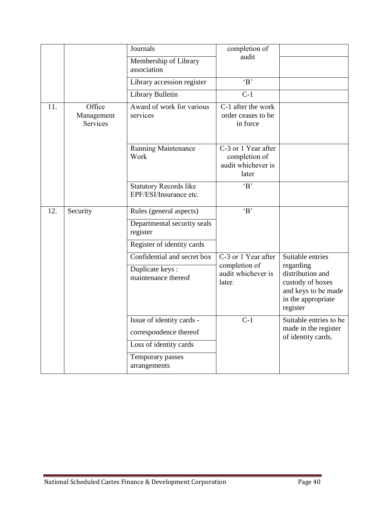|     |                                  | Journals                                                                      | completion of                                                       |                                                                                                            |
|-----|----------------------------------|-------------------------------------------------------------------------------|---------------------------------------------------------------------|------------------------------------------------------------------------------------------------------------|
|     |                                  | Membership of Library<br>association                                          | audit                                                               |                                                                                                            |
|     |                                  | Library accession register                                                    | B                                                                   |                                                                                                            |
|     |                                  | Library Bulletin                                                              | $C-1$                                                               |                                                                                                            |
| 11. | Office<br>Management<br>Services | Award of work for various<br>services                                         | C-1 after the work<br>order ceases to be<br>in force                |                                                                                                            |
|     |                                  | Running Maintenance<br>Work                                                   | C-3 or 1 Year after<br>completion of<br>audit whichever is<br>later |                                                                                                            |
|     |                                  | <b>Statutory Records like</b><br>EPF/ESI/Insurance etc.                       | B                                                                   |                                                                                                            |
| 12. | Security                         | Rules (general aspects)                                                       | B                                                                   |                                                                                                            |
|     |                                  | Departmental security seals<br>register                                       |                                                                     |                                                                                                            |
|     |                                  | Register of identity cards                                                    |                                                                     |                                                                                                            |
|     |                                  | Confidential and secret box                                                   | C-3 or 1 Year after                                                 | Suitable entries                                                                                           |
|     |                                  | Duplicate keys:<br>maintenance thereof                                        | completion of<br>audit whichever is<br>later.                       | regarding<br>distribution and<br>custody of boxes<br>and keys to be made<br>in the appropriate<br>register |
|     |                                  | Issue of identity cards -<br>correspondence thereof<br>Loss of identity cards | $C-1$                                                               | Suitable entries to be<br>made in the register<br>of identity cards.                                       |
|     |                                  | Temporary passes<br>arrangements                                              |                                                                     |                                                                                                            |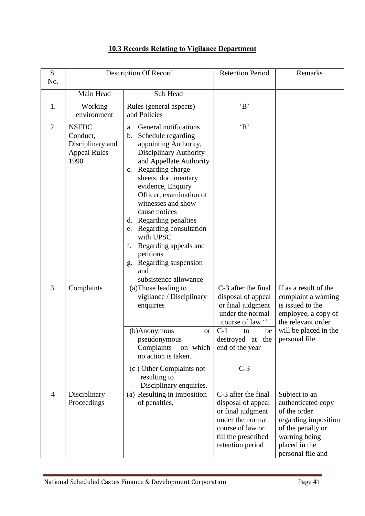| S.<br>No.      | Description Of Record                                                       |                                                                                                                                                                                                                                                                                                                                                                                                                                                                                 | <b>Retention Period</b>                                                                                                                                                    | Remarks                                                                                                                                                  |
|----------------|-----------------------------------------------------------------------------|---------------------------------------------------------------------------------------------------------------------------------------------------------------------------------------------------------------------------------------------------------------------------------------------------------------------------------------------------------------------------------------------------------------------------------------------------------------------------------|----------------------------------------------------------------------------------------------------------------------------------------------------------------------------|----------------------------------------------------------------------------------------------------------------------------------------------------------|
|                | Main Head                                                                   | Sub Head                                                                                                                                                                                                                                                                                                                                                                                                                                                                        |                                                                                                                                                                            |                                                                                                                                                          |
| 1.             | Working<br>environment                                                      | Rules (general aspects)<br>and Policies                                                                                                                                                                                                                                                                                                                                                                                                                                         | B                                                                                                                                                                          |                                                                                                                                                          |
| 2.             | <b>NSFDC</b><br>Conduct,<br>Disciplinary and<br><b>Appeal Rules</b><br>1990 | General notifications<br>a.<br>Schedule regarding<br>b.<br>appointing Authority,<br><b>Disciplinary Authority</b><br>and Appellate Authority<br>Regarding charge<br>$c_{\cdot}$<br>sheets, documentary<br>evidence, Enquiry<br>Officer, examination of<br>witnesses and show-<br>cause notices<br>d. Regarding penalties<br>Regarding consultation<br>e.<br>with UPSC<br>Regarding appeals and<br>f.<br>petitions<br>Regarding suspension<br>g.<br>and<br>subsistence allowance | B                                                                                                                                                                          |                                                                                                                                                          |
| 3.             | Complaints                                                                  | (a)Those leading to<br>vigilance / Disciplinary<br>enquiries<br>(b)Anonymous<br><b>or</b><br>pseudonymous<br>Complaints<br>on which<br>no action is taken.<br>(c) Other Complaints not<br>resulting to<br>Disciplinary enquiries.                                                                                                                                                                                                                                               | C-3 after the final<br>disposal of appeal<br>or final judgment<br>under the normal<br>course of law "<br>$C-1$<br>to<br>be<br>destroyed at the<br>end of the year<br>$C-3$ | If as a result of the<br>complaint a warning<br>is issued to the<br>employee, a copy of<br>the relevant order<br>will be placed in the<br>personal file. |
| $\overline{4}$ | Disciplinary<br>Proceedings                                                 | (a) Resulting in imposition<br>of penalties,                                                                                                                                                                                                                                                                                                                                                                                                                                    | C-3 after the final<br>disposal of appeal<br>or final judgment<br>under the normal<br>course of law or<br>till the prescribed<br>retention period                          | Subject to an<br>authenticated copy<br>of the order<br>regarding imposition<br>of the penalty or<br>warning being<br>placed in the<br>personal file and  |

### **10.3 Records Relating to Vigilance Department**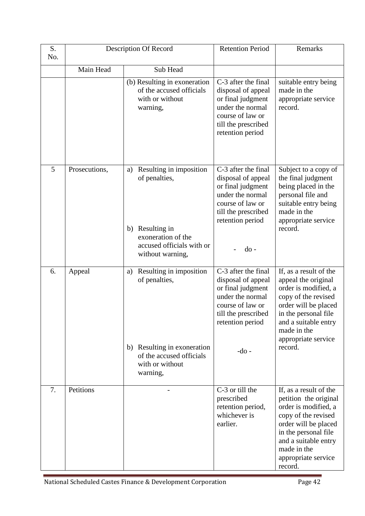| S.<br>No. | <b>Description Of Record</b> |                                                                                                                                             | <b>Retention Period</b>                                                                                                                                      | Remarks                                                                                                                                                                                                                 |
|-----------|------------------------------|---------------------------------------------------------------------------------------------------------------------------------------------|--------------------------------------------------------------------------------------------------------------------------------------------------------------|-------------------------------------------------------------------------------------------------------------------------------------------------------------------------------------------------------------------------|
|           | Main Head                    | Sub Head                                                                                                                                    |                                                                                                                                                              |                                                                                                                                                                                                                         |
|           |                              | (b) Resulting in exoneration<br>of the accused officials<br>with or without<br>warning,                                                     | C-3 after the final<br>disposal of appeal<br>or final judgment<br>under the normal<br>course of law or<br>till the prescribed<br>retention period            | suitable entry being<br>made in the<br>appropriate service<br>record.                                                                                                                                                   |
| 5         | Prosecutions,                | Resulting in imposition<br>a)<br>of penalties,<br>Resulting in<br>b)<br>exoneration of the<br>accused officials with or<br>without warning, | C-3 after the final<br>disposal of appeal<br>or final judgment<br>under the normal<br>course of law or<br>till the prescribed<br>retention period<br>$do -$  | Subject to a copy of<br>the final judgment<br>being placed in the<br>personal file and<br>suitable entry being<br>made in the<br>appropriate service<br>record.                                                         |
| 6.        | Appeal                       | Resulting in imposition<br>a)<br>of penalties,<br>b) Resulting in exoneration<br>of the accused officials<br>with or without<br>warning,    | C-3 after the final<br>disposal of appeal<br>or final judgment<br>under the normal<br>course of law or<br>till the prescribed<br>retention period<br>$-do$ - | If, as a result of the<br>appeal the original<br>order is modified, a<br>copy of the revised<br>order will be placed<br>in the personal file<br>and a suitable entry<br>made in the<br>appropriate service<br>record.   |
| 7.        | Petitions                    |                                                                                                                                             | C-3 or till the<br>prescribed<br>retention period,<br>whichever is<br>earlier.                                                                               | If, as a result of the<br>petition the original<br>order is modified, a<br>copy of the revised<br>order will be placed<br>in the personal file<br>and a suitable entry<br>made in the<br>appropriate service<br>record. |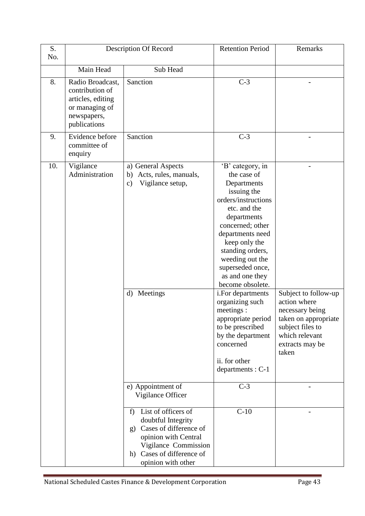| S.<br>No. | Description Of Record                                                                                     |                                                                                                                                                                                                                          | <b>Retention Period</b>                                                                                                                                                                                                                                                                                                                                                                                                             | Remarks                                                                                                                                           |
|-----------|-----------------------------------------------------------------------------------------------------------|--------------------------------------------------------------------------------------------------------------------------------------------------------------------------------------------------------------------------|-------------------------------------------------------------------------------------------------------------------------------------------------------------------------------------------------------------------------------------------------------------------------------------------------------------------------------------------------------------------------------------------------------------------------------------|---------------------------------------------------------------------------------------------------------------------------------------------------|
|           | Main Head                                                                                                 | Sub Head                                                                                                                                                                                                                 |                                                                                                                                                                                                                                                                                                                                                                                                                                     |                                                                                                                                                   |
| 8.        | Radio Broadcast,<br>contribution of<br>articles, editing<br>or managing of<br>newspapers,<br>publications | Sanction                                                                                                                                                                                                                 | $C-3$                                                                                                                                                                                                                                                                                                                                                                                                                               |                                                                                                                                                   |
| 9.        | Evidence before<br>committee of<br>enquiry                                                                | Sanction                                                                                                                                                                                                                 | $C-3$                                                                                                                                                                                                                                                                                                                                                                                                                               |                                                                                                                                                   |
| 10.       | Vigilance<br>Administration                                                                               | a) General Aspects<br>b) Acts, rules, manuals,<br>Vigilance setup,<br>$\mathbf{c})$<br>Meetings<br>$\mathbf{d}$                                                                                                          | 'B' category, in<br>the case of<br>Departments<br>issuing the<br>orders/instructions<br>etc. and the<br>departments<br>concerned; other<br>departments need<br>keep only the<br>standing orders,<br>weeding out the<br>superseded once,<br>as and one they<br>become obsolete.<br>i.For departments<br>organizing such<br>meetings :<br>appropriate period  <br>to be prescribed<br>by the department<br>concerned<br>ii. for other | Subject to follow-up<br>action where<br>necessary being<br>taken on appropriate<br>subject files to<br>which relevant<br>extracts may be<br>taken |
|           |                                                                                                           | e) Appointment of<br>Vigilance Officer<br>List of officers of<br>f<br>doubtful Integrity<br>g) Cases of difference of<br>opinion with Central<br>Vigilance Commission<br>h) Cases of difference of<br>opinion with other | departments : C-1<br>$C-3$<br>$C-10$                                                                                                                                                                                                                                                                                                                                                                                                |                                                                                                                                                   |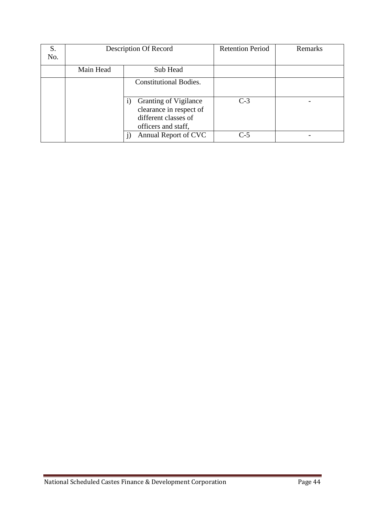| S.  | Description Of Record |                                                                                                        | <b>Retention Period</b> | Remarks |
|-----|-----------------------|--------------------------------------------------------------------------------------------------------|-------------------------|---------|
| No. |                       |                                                                                                        |                         |         |
|     | Main Head<br>Sub Head |                                                                                                        |                         |         |
|     |                       | <b>Constitutional Bodies.</b>                                                                          |                         |         |
|     |                       | <b>Granting of Vigilance</b><br>clearance in respect of<br>different classes of<br>officers and staff, | $C-3$                   |         |
|     | Annual Report of CVC  |                                                                                                        | $C-5$                   |         |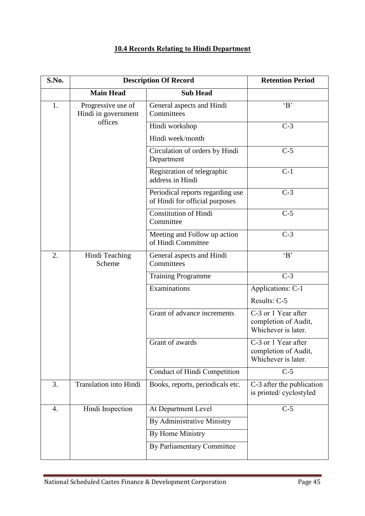### **10.4 Records Relating to Hindi Department**

| S.No. | <b>Description Of Record</b>              |                                                                    | <b>Retention Period</b>                                            |
|-------|-------------------------------------------|--------------------------------------------------------------------|--------------------------------------------------------------------|
|       | <b>Main Head</b>                          | <b>Sub Head</b>                                                    |                                                                    |
| 1.    | Progressive use of<br>Hindi in government | General aspects and Hindi<br>Committees                            | B                                                                  |
|       | offices                                   | Hindi workshop                                                     | $C-3$                                                              |
|       |                                           | Hindi week/month                                                   |                                                                    |
|       |                                           | Circulation of orders by Hindi<br>Department                       | $C-5$                                                              |
|       |                                           | Registration of telegraphic<br>address in Hindi                    | $C-1$                                                              |
|       |                                           | Periodical reports regarding use<br>of Hindi for official purposes | $C-3$                                                              |
|       |                                           | <b>Constitution of Hindi</b><br>Committee                          | $C-5$                                                              |
|       |                                           | Meeting and Follow up action<br>of Hindi Committee                 | $C-3$                                                              |
| 2.    | Hindi Teaching<br>Scheme                  | General aspects and Hindi<br>Committees                            | B                                                                  |
|       |                                           | <b>Training Programme</b>                                          | $C-3$                                                              |
|       |                                           | Examinations                                                       | Applications: C-1                                                  |
|       |                                           |                                                                    | Results: C-5                                                       |
|       |                                           | Grant of advance increments                                        | C-3 or 1 Year after<br>completion of Audit,<br>Whichever is later. |
|       |                                           | Grant of awards                                                    | C-3 or 1 Year after<br>completion of Audit,<br>Whichever is later. |
|       |                                           | Conduct of Hindi Competition                                       | $C-5$                                                              |
| 3.    | <b>Translation into Hindi</b>             | Books, reports, periodicals etc.                                   | C-3 after the publication<br>is printed/cyclostyled                |
| 4.    | Hindi Inspection                          | At Department Level                                                | $C-5$                                                              |
|       |                                           | By Administrative Ministry                                         |                                                                    |
|       |                                           | By Home Ministry                                                   |                                                                    |
|       |                                           | By Parliamentary Committee                                         |                                                                    |